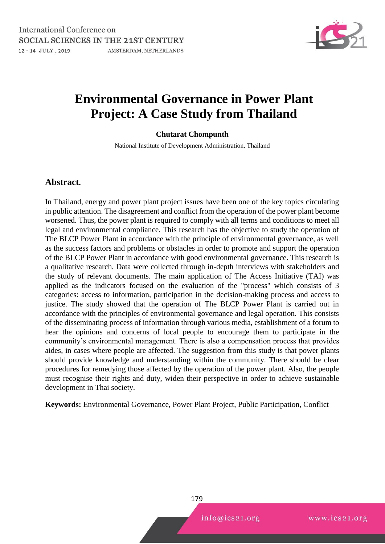

# **Environmental Governance in Power Plant Project: A Case Study from Thailand**

#### **Chutarat Chompunth**

National Institute of Development Administration, Thailand

#### **Abstract.**

In Thailand, energy and power plant project issues have been one of the key topics circulating in public attention. The disagreement and conflict from the operation of the power plant become worsened. Thus, the power plant is required to comply with all terms and conditions to meet all legal and environmental compliance. This research has the objective to study the operation of The BLCP Power Plant in accordance with the principle of environmental governance, as well as the success factors and problems or obstacles in order to promote and support the operation of the BLCP Power Plant in accordance with good environmental governance. This research is a qualitative research. Data were collected through in-depth interviews with stakeholders and the study of relevant documents. The main application of The Access Initiative (TAI) was applied as the indicators focused on the evaluation of the "process" which consists of 3 categories: access to information, participation in the decision-making process and access to justice. The study showed that the operation of The BLCP Power Plant is carried out in accordance with the principles of environmental governance and legal operation. This consists of the disseminating process of information through various media, establishment of a forum to hear the opinions and concerns of local people to encourage them to participate in the community's environmental management. There is also a compensation process that provides aides, in cases where people are affected. The suggestion from this study is that power plants should provide knowledge and understanding within the community. There should be clear procedures for remedying those affected by the operation of the power plant. Also, the people must recognise their rights and duty, widen their perspective in order to achieve sustainable development in Thai society.

**Keywords:** Environmental Governance, Power Plant Project, Public Participation, Conflict

179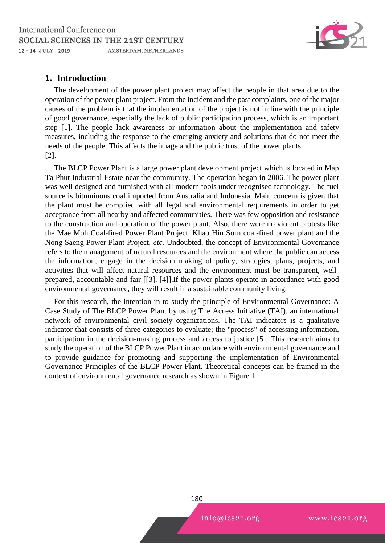

## **1. Introduction**

The development of the power plant project may affect the people in that area due to the operation of the power plant project. From the incident and the past complaints, one of the major causes of the problem is that the implementation of the project is not in line with the principle of good governance, especially the lack of public participation process, which is an important step [1]. The people lack awareness or information about the implementation and safety measures, including the response to the emerging anxiety and solutions that do not meet the needs of the people. This affects the image and the public trust of the power plants [2].

The BLCP Power Plant is a large power plant development project which is located in Map Ta Phut Industrial Estate near the community. The operation began in 2006. The power plant was well designed and furnished with all modern tools under recognised technology. The fuel source is bituminous coal imported from Australia and Indonesia. Main concern is given that the plant must be complied with all legal and environmental requirements in order to get acceptance from all nearby and affected communities. There was few opposition and resistance to the construction and operation of the power plant. Also, there were no violent protests like the Mae Moh Coal-fired Power Plant Project, Khao Hin Sorn coal-fired power plant and the Nong Saeng Power Plant Project, *etc.* Undoubted, the concept of Environmental Governance refers to the management of natural resources and the environment where the public can access the information, engage in the decision making of policy, strategies, plans, projects, and activities that will affect natural resources and the environment must be transparent, wellprepared, accountable and fair [[3], [4]].If the power plants operate in accordance with good environmental governance, they will result in a sustainable community living.

For this research, the intention in to study the principle of Environmental Governance: A Case Study of The BLCP Power Plant by using The Access Initiative (TAI), an international network of environmental civil society organizations. The TAI indicators is a qualitative indicator that consists of three categories to evaluate; the "process" of accessing information, participation in the decision-making process and access to justice [5]. This research aims to study the operation of the BLCP Power Plant in accordance with environmental governance and to provide guidance for promoting and supporting the implementation of Environmental Governance Principles of the BLCP Power Plant. Theoretical concepts can be framed in the context of environmental governance research as shown in Figure 1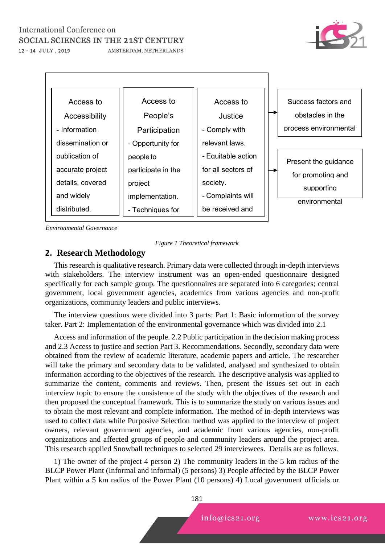## International Conference on SOCIAL SCIENCES IN THE 21ST CENTURY



12 - 14 JULY, 2019

AMSTERDAM, NETHERLANDS



*Environmental Governance* 



## **2. Research Methodology**

This research is qualitative research. Primary data were collected through in-depth interviews with stakeholders. The interview instrument was an open-ended questionnaire designed specifically for each sample group. The questionnaires are separated into 6 categories; central government, local government agencies, academics from various agencies and non-profit organizations, community leaders and public interviews.

The interview questions were divided into 3 parts: Part 1: Basic information of the survey taker. Part 2: Implementation of the environmental governance which was divided into 2.1

Access and information of the people. 2.2 Public participation in the decision making process and 2.3 Access to justice and section Part 3. Recommendations. Secondly, secondary data were obtained from the review of academic literature, academic papers and article. The researcher will take the primary and secondary data to be validated, analysed and synthesized to obtain information according to the objectives of the research. The descriptive analysis was applied to summarize the content, comments and reviews. Then, present the issues set out in each interview topic to ensure the consistence of the study with the objectives of the research and then proposed the conceptual framework. This is to summarize the study on various issues and to obtain the most relevant and complete information. The method of in-depth interviews was used to collect data while Purposive Selection method was applied to the interview of project owners, relevant government agencies, and academic from various agencies, non-profit organizations and affected groups of people and community leaders around the project area. This research applied Snowball techniques to selected 29 interviewees. Details are as follows.

1) The owner of the project 4 person 2) The community leaders in the 5 km radius of the BLCP Power Plant (Informal and informal) (5 persons) 3) People affected by the BLCP Power Plant within a 5 km radius of the Power Plant (10 persons) 4) Local government officials or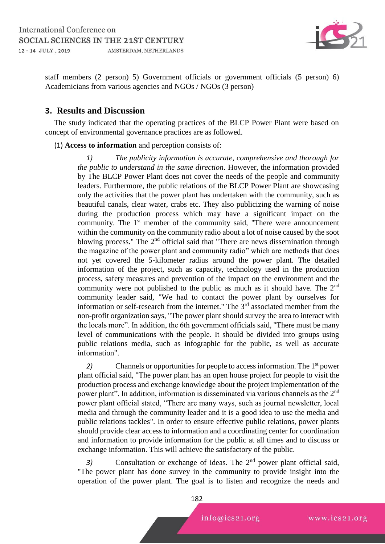

staff members (2 person) 5) Government officials or government officials (5 person) 6) Academicians from various agencies and NGOs / NGOs (3 person)

## **3. Results and Discussion**

The study indicated that the operating practices of the BLCP Power Plant were based on concept of environmental governance practices are as followed.

#### (1) **Access to information** and perception consists of:

*1) The publicity information is accurate, comprehensive and thorough for the public to understand in the same direction*. However, the information provided by The BLCP Power Plant does not cover the needs of the people and community leaders. Furthermore, the public relations of the BLCP Power Plant are showcasing only the activities that the power plant has undertaken with the community, such as beautiful canals, clear water, crabs etc. They also publicizing the warning of noise during the production process which may have a significant impact on the community. The 1<sup>st</sup> member of the community said, "There were announcement within the community on the community radio about a lot of noise caused by the soot blowing process." The 2<sup>nd</sup> official said that "There are news dissemination through the magazine of the power plant and community radio" which are methods that does not yet covered the 5-kilometer radius around the power plant. The detailed information of the project, such as capacity, technology used in the production process, safety measures and prevention of the impact on the environment and the community were not published to the public as much as it should have. The  $2<sup>nd</sup>$ community leader said, "We had to contact the power plant by ourselves for information or self-research from the internet." The  $3<sup>rd</sup>$  associated member from the non-profit organization says, "The power plant should survey the area to interact with the locals more". In addition, the 6th government officials said, "There must be many level of communications with the people. It should be divided into groups using public relations media, such as infographic for the public, as well as accurate information".

2) Channels or opportunities for people to access information. The 1<sup>st</sup> power plant official said, "The power plant has an open house project for people to visit the production process and exchange knowledge about the project implementation of the power plant". In addition, information is disseminated via various channels as the 2nd power plant official stated, "There are many ways, such as journal newsletter, local media and through the community leader and it is a good idea to use the media and public relations tackles". In order to ensure effective public relations, power plants should provide clear access to information and a coordinating center for coordination and information to provide information for the public at all times and to discuss or exchange information. This will achieve the satisfactory of the public.

3) Consultation or exchange of ideas. The 2<sup>nd</sup> power plant official said, "The power plant has done survey in the community to provide insight into the operation of the power plant. The goal is to listen and recognize the needs and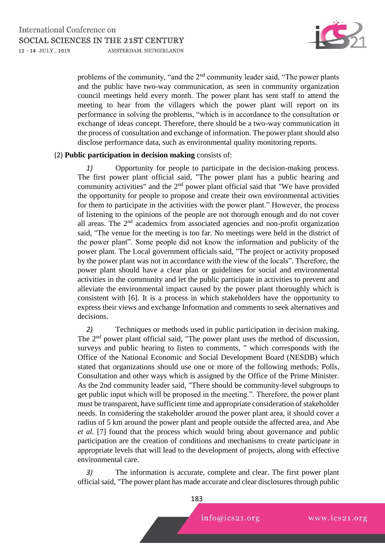

problems of the community, "and the  $2<sup>nd</sup>$  community leader said, "The power plants and the public have two-way communication, as seen in community organization council meetings held every month. The power plant has sent staff to attend the meeting to hear from the villagers which the power plant will report on its performance in solving the problems, "which is in accordance to the consultation or exchange of ideas concept. Therefore, there should be a two-way communication in the process of consultation and exchange of information. The power plant should also disclose performance data, such as environmental quality monitoring reports.

#### (2) **Public participation in decision making** consists of:

*1)* Opportunity for people to participate in the decision-making process. The first power plant official said, "The power plant has a public hearing and community activities" and the 2nd power plant official said that "We have provided the opportunity for people to propose and create their own environmental activities for them to participate in the activities with the power plant." However, the process of listening to the opinions of the people are not thorough enough and do not cover all areas. The  $2<sup>nd</sup>$  academics from associated agencies and non-profit organization said, "The venue for the meeting is too far. No meetings were held in the district of the power plant". Some people did not know the information and publicity of the power plant. The Local government officials said, "The project or activity proposed by the power plant was not in accordance with the view of the locals". Therefore, the power plant should have a clear plan or guidelines for social and environmental activities in the community and let the public participate in activities to prevent and alleviate the environmental impact caused by the power plant thoroughly which is consistent with [6]. It is a process in which stakeholders have the opportunity to express their views and exchange Information and comments to seek alternatives and decisions.

*2)* Techniques or methods used in public participation in decision making. The 2nd power plant official said, "The power plant uses the method of discussion, surveys and public hearing to listen to comments, " which corresponds with the Office of the National Economic and Social Development Board (NESDB) which stated that organizations should use one or more of the following methods; Polls, Consultation and other ways which is assigned by the Office of the Prime Minister. As the 2nd community leader said, "There should be community-level subgroups to get public input which will be proposed in the meeting.". Therefore, the power plant must be transparent, have sufficient time and appropriate consideration of stakeholder needs. In considering the stakeholder around the power plant area, it should cover a radius of 5 km around the power plant and people outside the affected area, and Abe *et al.* [7] found that the process which would bring about governance and public participation are the creation of conditions and mechanisms to create participate in appropriate levels that will lead to the development of projects, along with effective environmental care.

*3)* The information is accurate, complete and clear. The first power plant official said, "The power plant has made accurate and clear disclosures through public

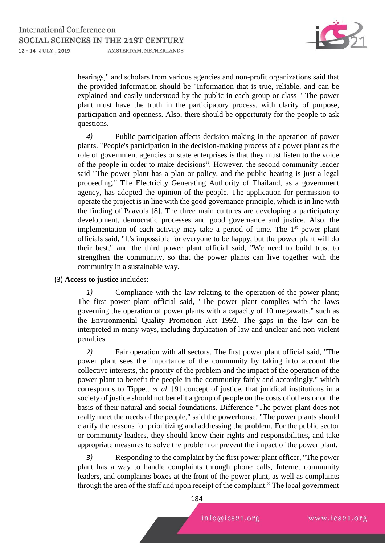

hearings," and scholars from various agencies and non-profit organizations said that the provided information should be "Information that is true, reliable, and can be explained and easily understood by the public in each group or class " The power plant must have the truth in the participatory process, with clarity of purpose, participation and openness. Also, there should be opportunity for the people to ask questions.

*4)* Public participation affects decision-making in the operation of power plants. "People's participation in the decision-making process of a power plant as the role of government agencies or state enterprises is that they must listen to the voice of the people in order to make decisions". However, the second community leader said "The power plant has a plan or policy, and the public hearing is just a legal proceeding." The Electricity Generating Authority of Thailand, as a government agency, has adopted the opinion of the people. The application for permission to operate the project is in line with the good governance principle, which is in line with the finding of Paavola [8]. The three main cultures are developing a participatory development, democratic processes and good governance and justice. Also, the implementation of each activity may take a period of time. The 1<sup>st</sup> power plant officials said, "It's impossible for everyone to be happy, but the power plant will do their best," and the third power plant official said, "We need to build trust to strengthen the community, so that the power plants can live together with the community in a sustainable way.

#### (3) **Access to justice** includes:

*1)* Compliance with the law relating to the operation of the power plant; The first power plant official said, "The power plant complies with the laws governing the operation of power plants with a capacity of 10 megawatts," such as the Environmental Quality Promotion Act 1992. The gaps in the law can be interpreted in many ways, including duplication of law and unclear and non-violent penalties.

*2)* Fair operation with all sectors. The first power plant official said, "The power plant sees the importance of the community by taking into account the collective interests, the priority of the problem and the impact of the operation of the power plant to benefit the people in the community fairly and accordingly." which corresponds to Tippett *et al.* [9] concept of justice, that juridical institutions in a society of justice should not benefit a group of people on the costs of others or on the basis of their natural and social foundations. Difference "The power plant does not really meet the needs of the people," said the powerhouse. "The power plants should clarify the reasons for prioritizing and addressing the problem. For the public sector or community leaders, they should know their rights and responsibilities, and take appropriate measures to solve the problem or prevent the impact of the power plant.

*3)* Responding to the complaint by the first power plant officer, "The power plant has a way to handle complaints through phone calls, Internet community leaders, and complaints boxes at the front of the power plant, as well as complaints through the area of the staff and upon receipt of the complaint." The local government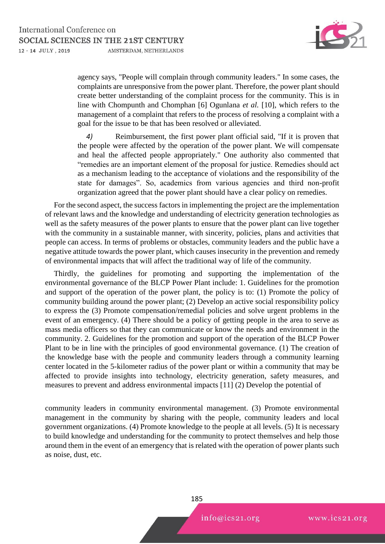

agency says, "People will complain through community leaders." In some cases, the complaints are unresponsive from the power plant. Therefore, the power plant should create better understanding of the complaint process for the community. This is in line with Chompunth and Chomphan [6] Ogunlana *et al.* [10], which refers to the management of a complaint that refers to the process of resolving a complaint with a goal for the issue to be that has been resolved or alleviated.

*4)* Reimbursement, the first power plant official said, "If it is proven that the people were affected by the operation of the power plant. We will compensate and heal the affected people appropriately." One authority also commented that "remedies are an important element of the proposal for justice. Remedies should act as a mechanism leading to the acceptance of violations and the responsibility of the state for damages". So, academics from various agencies and third non-profit organization agreed that the power plant should have a clear policy on remedies.

For the second aspect, the success factors in implementing the project are the implementation of relevant laws and the knowledge and understanding of electricity generation technologies as well as the safety measures of the power plants to ensure that the power plant can live together with the community in a sustainable manner, with sincerity, policies, plans and activities that people can access. In terms of problems or obstacles, community leaders and the public have a negative attitude towards the power plant, which causes insecurity in the prevention and remedy of environmental impacts that will affect the traditional way of life of the community.

Thirdly, the guidelines for promoting and supporting the implementation of the environmental governance of the BLCP Power Plant include: 1. Guidelines for the promotion and support of the operation of the power plant, the policy is to: (1) Promote the policy of community building around the power plant; (2) Develop an active social responsibility policy to express the (3) Promote compensation/remedial policies and solve urgent problems in the event of an emergency. (4) There should be a policy of getting people in the area to serve as mass media officers so that they can communicate or know the needs and environment in the community. 2. Guidelines for the promotion and support of the operation of the BLCP Power Plant to be in line with the principles of good environmental governance. (1) The creation of the knowledge base with the people and community leaders through a community learning center located in the 5-kilometer radius of the power plant or within a community that may be affected to provide insights into technology, electricity generation, safety measures, and measures to prevent and address environmental impacts [11] (2) Develop the potential of

community leaders in community environmental management. (3) Promote environmental management in the community by sharing with the people, community leaders and local government organizations. (4) Promote knowledge to the people at all levels. (5) It is necessary to build knowledge and understanding for the community to protect themselves and help those around them in the event of an emergency that is related with the operation of power plants such as noise, dust, etc.

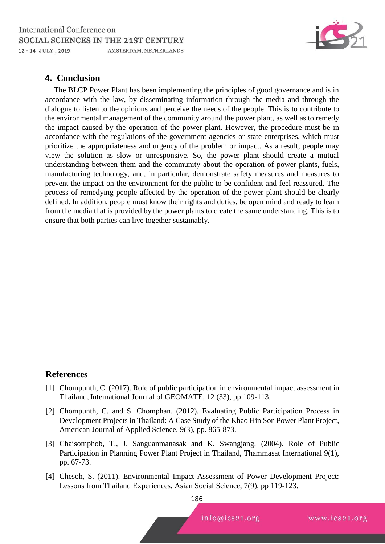

## **4. Conclusion**

The BLCP Power Plant has been implementing the principles of good governance and is in accordance with the law, by disseminating information through the media and through the dialogue to listen to the opinions and perceive the needs of the people. This is to contribute to the environmental management of the community around the power plant, as well as to remedy the impact caused by the operation of the power plant. However, the procedure must be in accordance with the regulations of the government agencies or state enterprises, which must prioritize the appropriateness and urgency of the problem or impact. As a result, people may view the solution as slow or unresponsive. So, the power plant should create a mutual understanding between them and the community about the operation of power plants, fuels, manufacturing technology, and, in particular, demonstrate safety measures and measures to prevent the impact on the environment for the public to be confident and feel reassured. The process of remedying people affected by the operation of the power plant should be clearly defined. In addition, people must know their rights and duties, be open mind and ready to learn from the media that is provided by the power plants to create the same understanding. This is to ensure that both parties can live together sustainably.

### **References**

- [1] Chompunth, C. (2017). Role of public participation in environmental impact assessment in Thailand, International Journal of GEOMATE, 12 (33), pp.109-113.
- [2] Chompunth, C. and S. Chomphan. (2012). Evaluating Public Participation Process in Development Projects in Thailand: A Case Study of the Khao Hin Son Power Plant Project, American Journal of Applied Science, 9(3), pp. 865-873.
- [3] Chaisomphob, T., J. Sanguanmanasak and K. Swangjang. (2004). Role of Public Participation in Planning Power Plant Project in Thailand, Thammasat International 9(1), pp. 67-73.
- [4] Chesoh, S. (2011). Environmental Impact Assessment of Power Development Project: Lessons from Thailand Experiences, Asian Social Science, 7(9), pp 119-123.